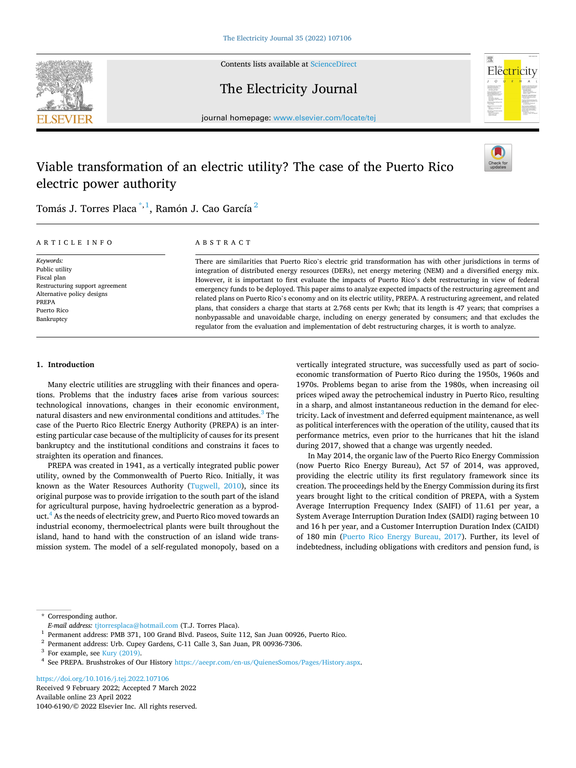

Contents lists available at ScienceDirect

The Electricity Journal



journal homepage: www.elsevier.com/locate/tej

# Viable transformation of an electric utility? The case of the Puerto Rico electric power authority



Tomás J. Torres Placa  $^{\ast,1}$ , Ramón J. Cao García $^2$ 

#### ARTICLE INFO

*Keywords:*  Public utility Fiscal plan Restructuring support agreement Alternative policy designs PREPA Puerto Rico Bankruptcy

# ABSTRACT

There are similarities that Puerto Rico's electric grid transformation has with other jurisdictions in terms of integration of distributed energy resources (DERs), net energy metering (NEM) and a diversified energy mix. However, it is important to first evaluate the impacts of Puerto Rico's debt restructuring in view of federal emergency funds to be deployed. This paper aims to analyze expected impacts of the restructuring agreement and related plans on Puerto Rico's economy and on its electric utility, PREPA. A restructuring agreement, and related plans, that considers a charge that starts at 2.768 cents per Kwh; that its length is 47 years; that comprises a nonbypassable and unavoidable charge, including on energy generated by consumers; and that excludes the regulator from the evaluation and implementation of debt restructuring charges, it is worth to analyze.

# **1. Introduction**

Many electric utilities are struggling with their finances and operations. Problems that the industry faces arise from various sources: technological innovations, changes in their economic environment, natural disasters and new environmental conditions and attitudes.<sup>3</sup> The case of the Puerto Rico Electric Energy Authority (PREPA) is an interesting particular case because of the multiplicity of causes for its present bankruptcy and the institutional conditions and constrains it faces to straighten its operation and finances.

PREPA was created in 1941, as a vertically integrated public power utility, owned by the Commonwealth of Puerto Rico. Initially, it was known as the Water Resources Authority ([Tugwell, 2010\)](#page-9-0), since its original purpose was to provide irrigation to the south part of the island for agricultural purpose, having hydroelectric generation as a byproduct.<sup>4</sup> As the needs of electricity grew, and Puerto Rico moved towards an industrial economy, thermoelectrical plants were built throughout the island, hand to hand with the construction of an island wide transmission system. The model of a self-regulated monopoly, based on a vertically integrated structure, was successfully used as part of socioeconomic transformation of Puerto Rico during the 1950s, 1960s and 1970s. Problems began to arise from the 1980s, when increasing oil prices wiped away the petrochemical industry in Puerto Rico, resulting in a sharp, and almost instantaneous reduction in the demand for electricity. Lack of investment and deferred equipment maintenance, as well as political interferences with the operation of the utility, caused that its performance metrics, even prior to the hurricanes that hit the island during 2017, showed that a change was urgently needed.

In May 2014, the organic law of the Puerto Rico Energy Commission (now Puerto Rico Energy Bureau), Act 57 of 2014, was approved, providing the electric utility its first regulatory framework since its creation. The proceedings held by the Energy Commission during its first years brought light to the critical condition of PREPA, with a System Average Interruption Frequency Index (SAIFI) of 11.61 per year, a System Average Interruption Duration Index (SAIDI) raging between 10 and 16 h per year, and a Customer Interruption Duration Index (CAIDI) of 180 min ([Puerto Rico Energy Bureau, 2017\)](#page-9-0). Further, its level of indebtedness, including obligations with creditors and pension fund, is

\* Corresponding author.

Available online 23 April 2022 1040-6190/© 2022 Elsevier Inc. All rights reserved. https://doi.org/10.1016/j.tej.2022.107106 Received 9 February 2022; Accepted 7 March 2022

 $E\text{-}mail$  address: tjtorresplaca@hotmail.com (T.J. Torres Placa).<br>  $^1$  Permanent address: PMB 371, 100 Grand Blvd. Paseos, Suite 112, San Juan 00926, Puerto Rico.<br>  $^2$  Permanent address: Urb. Cupey Gardens, C-11 Calle 3,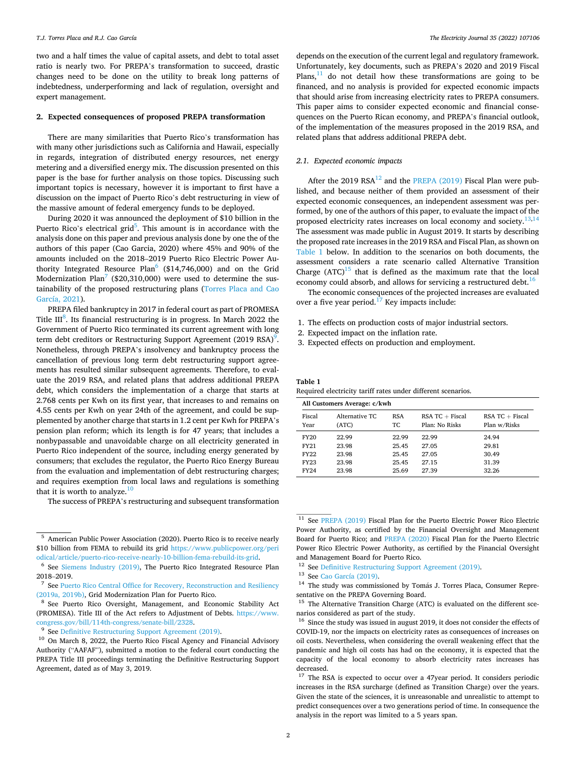two and a half times the value of capital assets, and debt to total asset ratio is nearly two. For PREPA's transformation to succeed, drastic changes need to be done on the utility to break long patterns of indebtedness, underperforming and lack of regulation, oversight and expert management.

### **2. Expected consequences of proposed PREPA transformation**

There are many similarities that Puerto Rico's transformation has with many other jurisdictions such as California and Hawaii, especially in regards, integration of distributed energy resources, net energy metering and a diversified energy mix. The discussion presented on this paper is the base for further analysis on those topics. Discussing such important topics is necessary, however it is important to first have a discussion on the impact of Puerto Rico's debt restructuring in view of the massive amount of federal emergency funds to be deployed.

During 2020 it was announced the deployment of \$10 billion in the Puerto Rico's electrical grid<sup>5</sup>. This amount is in accordance with the analysis done on this paper and previous analysis done by one the of the authors of this paper (Cao Garcia, 2020) where 45% and 90% of the amounts included on the 2018–2019 Puerto Rico Electric Power Authority Integrated Resource Plan<sup>6</sup> (\$14,746,000) and on the Grid Modernization Plan<sup>7</sup> (\$20,310,000) were used to determine the sustainability of the proposed restructuring plans [\(Torres Placa and Cao](#page-9-0)  [García, 2021](#page-9-0)).

PREPA filed bankruptcy in 2017 in federal court as part of PROMESA Title III<sup>8</sup>. Its financial restructuring is in progress. In March 2022 the Government of Puerto Rico terminated its current agreement with long term debt creditors or Restructuring Support Agreement (2019 RSA)<sup>9</sup>. Nonetheless, through PREPA's insolvency and bankruptcy process the cancellation of previous long term debt restructuring support agreements has resulted similar subsequent agreements. Therefore, to evaluate the 2019 RSA, and related plans that address additional PREPA debt, which considers the implementation of a charge that starts at 2.768 cents per Kwh on its first year, that increases to and remains on 4.55 cents per Kwh on year 24th of the agreement, and could be supplemented by another charge that starts in 1.2 cent per Kwh for PREPA's pension plan reform; which its length is for 47 years; that includes a nonbypassable and unavoidable charge on all electricity generated in Puerto Rico independent of the source, including energy generated by consumers; that excludes the regulator, the Puerto Rico Energy Bureau from the evaluation and implementation of debt restructuring charges; and requires exemption from local laws and regulations is something that it is worth to analyze. $10$ 

The success of PREPA's restructuring and subsequent transformation

depends on the execution of the current legal and regulatory framework. Unfortunately, key documents, such as PREPA's 2020 and 2019 Fiscal Plans, $11$  do not detail how these transformations are going to be financed, and no analysis is provided for expected economic impacts that should arise from increasing electricity rates to PREPA consumers. This paper aims to consider expected economic and financial consequences on the Puerto Rican economy, and PREPA's financial outlook, of the implementation of the measures proposed in the 2019 RSA, and related plans that address additional PREPA debt.

### *2.1. Expected economic impacts*

After the 2019  $RSA^{12}$  and the [PREPA \(2019\)](#page-8-0) Fiscal Plan were published, and because neither of them provided an assessment of their expected economic consequences, an independent assessment was performed, by one of the authors of this paper, to evaluate the impact of the proposed electricity rates increases on local economy and society.<sup>13,14</sup> The assessment was made public in August 2019. It starts by describing the proposed rate increases in the 2019 RSA and Fiscal Plan, as shown on Table 1 below. In addition to the scenarios on both documents, the assessment considers a rate scenario called Alternative Transition Charge  $(ATC)^{15}$  that is defined as the maximum rate that the local economy could absorb, and allows for servicing a restructured debt.<sup>16</sup>

The economic consequences of the projected increases are evaluated over a five year period. $17$  Key impacts include:

- 1. The effects on production costs of major industrial sectors.
- 2. Expected impact on the inflation rate.
- 3. Expected effects on production and employment.

## **Table 1**

Required electricity tariff rates under different scenarios.

|             | All Customers Average: c/kwh |            |                  |                  |  |  |  |  |  |
|-------------|------------------------------|------------|------------------|------------------|--|--|--|--|--|
| Fiscal      | Alternative TC               | <b>RSA</b> | $RSA TC + Fixed$ | $RSA TC + Fixed$ |  |  |  |  |  |
| Year        | (ATC)                        | TC.        | Plan: No Risks   | Plan w/Risks     |  |  |  |  |  |
| <b>FY20</b> | 22.99                        | 22.99      | 22.99            | 24.94            |  |  |  |  |  |
| FY21        | 23.98                        | 25.45      | 27.05            | 29.81            |  |  |  |  |  |
| <b>FY22</b> | 23.98                        | 25.45      | 27.05            | 30.49            |  |  |  |  |  |
| <b>FY23</b> | 23.98                        | 25.45      | 27.15            | 31.39            |  |  |  |  |  |
| <b>FY24</b> | 23.98                        | 25.69      | 27.39            | 32.26            |  |  |  |  |  |

 $11$  See [PREPA \(2019\)](#page-8-0) Fiscal Plan for the Puerto Electric Power Rico Electric Power Authority, as certified by the Financial Oversight and Management Board for Puerto Rico; and [PREPA \(2020\)](#page-8-0) Fiscal Plan for the Puerto Electric Power Rico Electric Power Authority, as certified by the Financial Oversight

and Management Board for Puerto Rico.<br>
<sup>12</sup> See [Definitive Restructuring Support Agreement \(2019\).](#page-8-0)<br>
<sup>13</sup> See [Cao García \(2019\).](#page-8-0)<br>
<sup>14</sup> The study was commissioned by Tomás J. Torres Placa, Consumer Representative on the PREPA Governing Board.  $15$  The Alternative Transition Charge (ATC) is evaluated on the different sce-

narios considered as part of the study.<br><sup>16</sup> Since the study was issued in august 2019, it does not consider the effects of

<sup>5</sup> American Public Power Association (2020). Puerto Rico is to receive nearly \$10 billion from FEMA to rebuild its grid https://www.publicpower.org/peri

odical/article/puerto-rico-receive-nearly-10-billion-fema-rebuild-its-grid. 6 See [Siemens Industry \(2019\)](#page-9-0), The Puerto Rico Integrated Resource Plan

<sup>2018–2019.&</sup>lt;br>
<sup>7</sup> See Puerto Rico Central Office for Recovery, Reconstruction and Resiliency<br>
(2019a, 2019b), Grid Modernization Plan for Puerto Rico.

<sup>&</sup>lt;sup>8</sup> See Puerto Rico Oversight, Management, and Economic Stability Act (PROMESA). Title III of the Act refers to Adjustment of Debts. https://www.congress.gov/bill/114th-congress/senate-bill/2328.

<sup>&</sup>lt;sup>9</sup> See [Definitive Restructuring Support Agreement \(2019\).](#page-8-0) <sup>10</sup> On March 8, 2022, the Puerto Rico Fiscal Agency and Financial Advisory Authority ("AAFAF"), submitted a motion to the federal court conducting the PREPA Title III proceedings terminating the Definitive Restructuring Support Agreement, dated as of May 3, 2019.

COVID-19, nor the impacts on electricity rates as consequences of increases on oil costs. Nevertheless, when considering the overall weakening effect that the pandemic and high oil costs has had on the economy, it is expected that the capacity of the local economy to absorb electricity rates increases has decreased.

<sup>&</sup>lt;sup>17</sup> The RSA is expected to occur over a 47year period. It considers periodic increases in the RSA surcharge (defined as Transition Charge) over the years. Given the state of the sciences, it is unreasonable and unrealistic to attempt to predict consequences over a two generations period of time. In consequence the analysis in the report was limited to a 5 years span.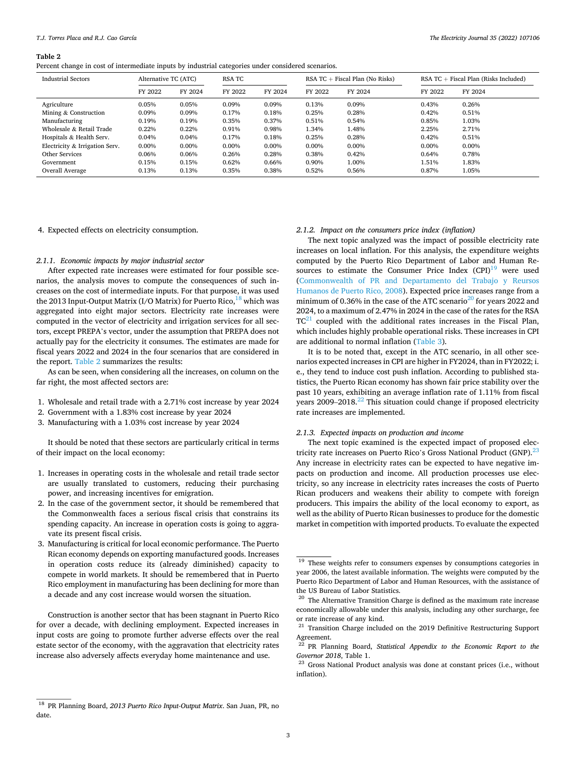*T.J. Torres Placa and R.J. Cao García* 

#### **Table 2**

Percent change in cost of intermediate inputs by industrial categories under considered scenarios.

| Industrial Sectors             | Alternative TC (ATC) |         | RSA TC  |         | RSA $TC$ + Fiscal Plan (No Risks) |         | $RSA TC + Fixed Plan (Risks included)$ |         |
|--------------------------------|----------------------|---------|---------|---------|-----------------------------------|---------|----------------------------------------|---------|
|                                | FY 2022              | FY 2024 | FY 2022 | FY 2024 | FY 2022                           | FY 2024 | FY 2022                                | FY 2024 |
| Agriculture                    | 0.05%                | 0.05%   | 0.09%   | 0.09%   | 0.13%                             | 0.09%   | 0.43%                                  | 0.26%   |
| Mining & Construction          | 0.09%                | 0.09%   | 0.17%   | 0.18%   | 0.25%                             | 0.28%   | 0.42%                                  | 0.51%   |
| Manufacturing                  | 0.19%                | 0.19%   | 0.35%   | 0.37%   | 0.51%                             | 0.54%   | 0.85%                                  | 1.03%   |
| Wholesale & Retail Trade       | 0.22%                | 0.22%   | 0.91%   | 0.98%   | 1.34%                             | 1.48%   | 2.25%                                  | 2.71%   |
| Hospitals & Health Serv.       | 0.04%                | 0.04%   | 0.17%   | 0.18%   | 0.25%                             | 0.28%   | 0.42%                                  | 0.51%   |
| Electricity & Irrigation Serv. | 0.00%                | 0.00%   | 0.00%   | 0.00%   | 0.00%                             | 0.00%   | 0.00%                                  | 0.00%   |
| Other Services                 | 0.06%                | 0.06%   | 0.26%   | 0.28%   | 0.38%                             | 0.42%   | 0.64%                                  | 0.78%   |
| Government                     | 0.15%                | 0.15%   | 0.62%   | 0.66%   | 0.90%                             | 1.00%   | 1.51%                                  | 1.83%   |
| Overall Average                | 0.13%                | 0.13%   | 0.35%   | 0.38%   | 0.52%                             | 0.56%   | 0.87%                                  | 1.05%   |

# 4. Expected effects on electricity consumption.

# *2.1.1. Economic impacts by major industrial sector*

After expected rate increases were estimated for four possible scenarios, the analysis moves to compute the consequences of such increases on the cost of intermediate inputs. For that purpose, it was used the 2013 Input-Output Matrix (I/O Matrix) for Puerto Rico,  $^{18}$  which was aggregated into eight major sectors. Electricity rate increases were computed in the vector of electricity and irrigation services for all sectors, except PREPA's vector, under the assumption that PREPA does not actually pay for the electricity it consumes. The estimates are made for fiscal years 2022 and 2024 in the four scenarios that are considered in the report. Table 2 summarizes the results:

As can be seen, when considering all the increases, on column on the far right, the most affected sectors are:

- 1. Wholesale and retail trade with a 2.71% cost increase by year 2024
- 2. Government with a 1.83% cost increase by year 2024
- 3. Manufacturing with a 1.03% cost increase by year 2024

It should be noted that these sectors are particularly critical in terms of their impact on the local economy:

- 1. Increases in operating costs in the wholesale and retail trade sector are usually translated to customers, reducing their purchasing power, and increasing incentives for emigration.
- 2. In the case of the government sector, it should be remembered that the Commonwealth faces a serious fiscal crisis that constrains its spending capacity. An increase in operation costs is going to aggravate its present fiscal crisis.
- 3. Manufacturing is critical for local economic performance. The Puerto Rican economy depends on exporting manufactured goods. Increases in operation costs reduce its (already diminished) capacity to compete in world markets. It should be remembered that in Puerto Rico employment in manufacturing has been declining for more than a decade and any cost increase would worsen the situation.

Construction is another sector that has been stagnant in Puerto Rico for over a decade, with declining employment. Expected increases in input costs are going to promote further adverse effects over the real estate sector of the economy, with the aggravation that electricity rates increase also adversely affects everyday home maintenance and use.

# *2.1.2. Impact on the consumers price index (inflation)*

The next topic analyzed was the impact of possible electricity rate increases on local inflation. For this analysis, the expenditure weights computed by the Puerto Rico Department of Labor and Human Resources to estimate the Consumer Price Index  $(CPI)^{19}$  were used ([Commonwealth of PR and Departamento del Trabajo y Reursos](#page-8-0)  [Humanos de Puerto Rico, 2008\)](#page-8-0). Expected price increases range from a minimum of 0.36% in the case of the ATC scenario<sup>20</sup> for years 2022 and 2024, to a maximum of 2.47% in 2024 in the case of the rates for the RSA  $TC^{21}$  coupled with the additional rates increases in the Fiscal Plan, which includes highly probable operational risks. These increases in CPI are additional to normal inflation ([Table 3](#page-3-0)).

It is to be noted that, except in the ATC scenario, in all other scenarios expected increases in CPI are higher in FY2024, than in FY2022; i. e., they tend to induce cost push inflation. According to published statistics, the Puerto Rican economy has shown fair price stability over the past 10 years, exhibiting an average inflation rate of 1.11% from fiscal years  $2009-2018$ <sup>22</sup> This situation could change if proposed electricity rate increases are implemented.

#### *2.1.3. Expected impacts on production and income*

The next topic examined is the expected impact of proposed electricity rate increases on Puerto Rico's Gross National Product (GNP).<sup>23</sup> Any increase in electricity rates can be expected to have negative impacts on production and income. All production processes use electricity, so any increase in electricity rates increases the costs of Puerto Rican producers and weakens their ability to compete with foreign producers. This impairs the ability of the local economy to export, as well as the ability of Puerto Rican businesses to produce for the domestic market in competition with imported products. To evaluate the expected

<sup>18</sup> PR Planning Board, *2013 Puerto Rico Input-Output Matrix*. San Juan, PR, no date.

 $^{19}$  These weights refer to consumers expenses by consumptions categories in year 2006, the latest available information. The weights were computed by the Puerto Rico Department of Labor and Human Resources, with the assistance of

the US Bureau of Labor Statistics.  $^{\rm 20}$  The Alternative Transition Charge is defined as the maximum rate increase economically allowable under this analysis, including any other surcharge, fee or rate increase of any kind.<br><sup>21</sup> Transition Charge included on the 2019 Definitive Restructuring Support

Agreement.

<sup>22</sup> PR Planning Board, *Statistical Appendix to the Economic Report to the Governor 2018*, Table 1. 23 Gross National Product analysis was done at constant prices (i.e., without

inflation).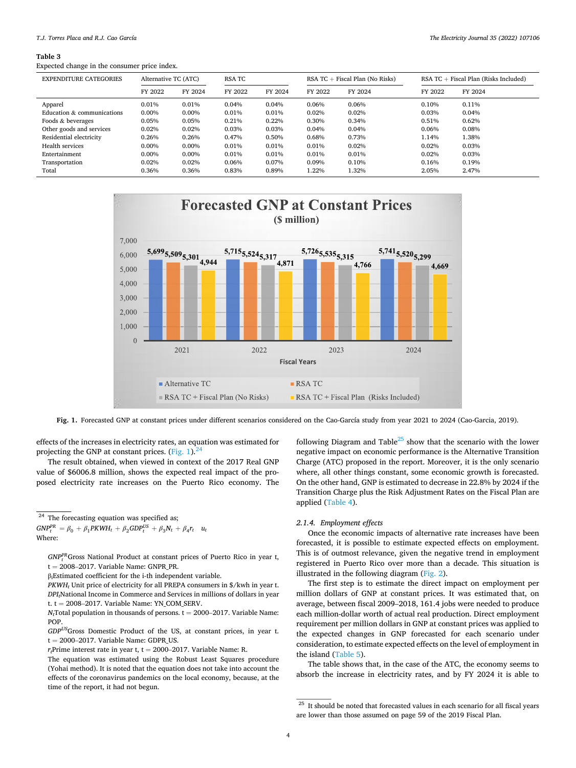#### <span id="page-3-0"></span>**Table 3**

Expected change in the consumer price index.

| <b>EXPENDITURE CATEGORIES</b> | Alternative TC (ATC) |         | RSA TC  |         | RSA $TC$ + Fiscal Plan (No Risks) |         | RSA $TC$ + Fiscal Plan (Risks Included) |         |
|-------------------------------|----------------------|---------|---------|---------|-----------------------------------|---------|-----------------------------------------|---------|
|                               | FY 2022              | FY 2024 | FY 2022 | FY 2024 | FY 2022                           | FY 2024 | FY 2022                                 | FY 2024 |
| Apparel                       | 0.01%                | 0.01%   | 0.04%   | 0.04%   | 0.06%                             | 0.06%   | 0.10%                                   | 0.11%   |
| Education & communications    | 0.00%                | 0.00%   | 0.01%   | 0.01%   | 0.02%                             | 0.02%   | 0.03%                                   | 0.04%   |
| Foods & beverages             | 0.05%                | 0.05%   | 0.21%   | 0.22%   | 0.30%                             | 0.34%   | 0.51%                                   | 0.62%   |
| Other goods and services      | 0.02%                | 0.02%   | 0.03%   | 0.03%   | 0.04%                             | 0.04%   | 0.06%                                   | 0.08%   |
| Residential electricity       | 0.26%                | 0.26%   | 0.47%   | 0.50%   | 0.68%                             | 0.73%   | 1.14%                                   | 1.38%   |
| Health services               | 0.00%                | 0.00%   | 0.01%   | 0.01%   | 0.01%                             | 0.02%   | 0.02%                                   | 0.03%   |
| Entertainment                 | 0.00%                | 0.00%   | 0.01%   | 0.01%   | 0.01%                             | 0.01%   | 0.02%                                   | 0.03%   |
| Transportation                | 0.02%                | 0.02%   | 0.06%   | 0.07%   | 0.09%                             | 0.10%   | 0.16%                                   | 0.19%   |
| Total                         | 0.36%                | 0.36%   | 0.83%   | 0.89%   | 1.22%                             | .32%    | 2.05%                                   | 2.47%   |



**Fig. 1.** Forecasted GNP at constant prices under different scenarios considered on the Cao-García study from year 2021 to 2024 (Cao-Garcia, 2019).

effects of the increases in electricity rates, an equation was estimated for projecting the GNP at constant prices. (Fig. 1). $^{24}$ 

The result obtained, when viewed in context of the 2017 Real GNP value of \$6006.8 million, shows the expected real impact of the proposed electricity rate increases on the Puerto Rico economy. The following Diagram and Table $^{25}$  show that the scenario with the lower negative impact on economic performance is the Alternative Transition Charge (ATC) proposed in the report. Moreover, it is the only scenario where, all other things constant, some economic growth is forecasted. On the other hand, GNP is estimated to decrease in 22.8% by 2024 if the Transition Charge plus the Risk Adjustment Rates on the Fiscal Plan are applied [\(Table 4\)](#page-4-0).

# *2.1.4. Employment effects*

Once the economic impacts of alternative rate increases have been forecasted, it is possible to estimate expected effects on employment. This is of outmost relevance, given the negative trend in employment registered in Puerto Rico over more than a decade. This situation is illustrated in the following diagram [\(Fig. 2](#page-5-0)).

The first step is to estimate the direct impact on employment per million dollars of GNP at constant prices. It was estimated that, on average, between fiscal 2009–2018, 161.4 jobs were needed to produce each million-dollar worth of actual real production. Direct employment requirement per million dollars in GNP at constant prices was applied to the expected changes in GNP forecasted for each scenario under consideration, to estimate expected effects on the level of employment in the island ([Table 5\)](#page-5-0).

The table shows that, in the case of the ATC, the economy seems to absorb the increase in electricity rates, and by FY 2024 it is able to

<sup>&</sup>lt;sup>24</sup> The forecasting equation was specified as;

 $GNP_t^{PR} = \beta_0 + \beta_1 PKWH_t + \beta_2 GDP_t^{US} + \beta_3 N_t + \beta_4 r_t$  *u<sub>t</sub>* Where:

*GNPPR <sup>t</sup>* Gross National Product at constant prices of Puerto Rico in year t, t = 2008–2017. Variable Name: GNPR PR.

βiEstimated coefficient for the i-th independent variable.

 $\mathit{PKWH}_t$ Unit price of electricity for all PREPA consumers in \$/kwh in year t. *DPIt*National Income in Commerce and Services in millions of dollars in year t.  $t = 2008 - 2017$ . Variable Name: YN\_COM\_SERV.

 $N_t$ Total population in thousands of persons.  $t = 2000-2017$ . Variable Name: POP.

*GDPUS*Gross Domestic Product of the US, at constant prices, in year t.  $t = 2000-2017$ . Variable Name: GDPR US.

 $r_t$ Prime interest rate in year t, t = 2000–2017. Variable Name: R.

The equation was estimated using the Robust Least Squares procedure (Yohai method). It is noted that the equation does not take into account the effects of the coronavirus pandemics on the local economy, because, at the time of the report, it had not begun.

 $\overline{a^{25}}$  It should be noted that forecasted values in each scenario for all fiscal years are lower than those assumed on page 59 of the 2019 Fiscal Plan.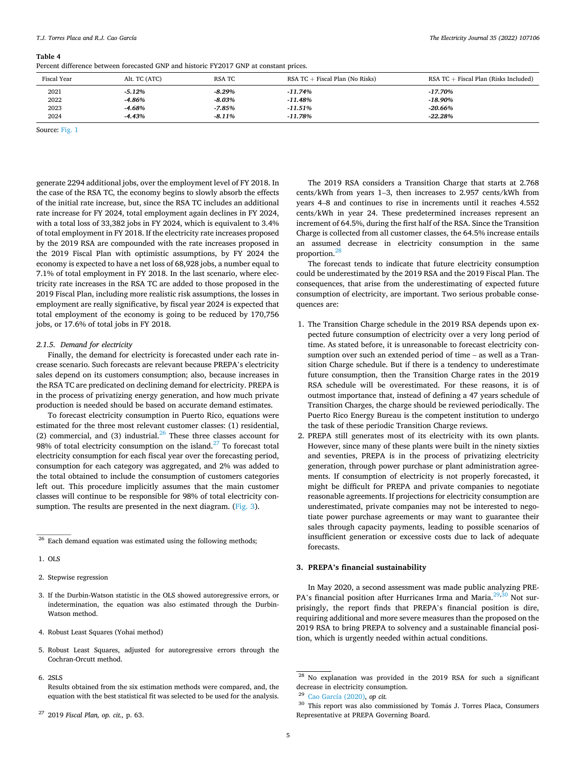#### <span id="page-4-0"></span>*T.J. Torres Placa and R.J. Cao García*

#### **Table 4**

Percent difference between forecasted GNP and historic FY2017 GNP at constant prices.

| <b>Fiscal Year</b> | Alt. TC (ATC) | RSA TC   | $RSA TC + Fixed Plan (No Risks)$ | $RSA \tTC + Fiscal \tPlan (Risks \t included)$ |
|--------------------|---------------|----------|----------------------------------|------------------------------------------------|
| 2021               | -5.12%        | -8.29%   | $-11.74\%$                       | -17.70%                                        |
| 2022               | -4.86%        | $-8.03%$ | -11.48%                          | $-18.90%$                                      |
| 2023               | $-4.68%$      | -7.85%   | -11.51%                          | $-20.66%$                                      |
| 2024               | $-4.43%$      | $-8.11%$ | $-11.78%$                        | $-22.28%$                                      |

Source: [Fig. 1](#page-3-0)

generate 2294 additional jobs, over the employment level of FY 2018. In the case of the RSA TC, the economy begins to slowly absorb the effects of the initial rate increase, but, since the RSA TC includes an additional rate increase for FY 2024, total employment again declines in FY 2024, with a total loss of 33,382 jobs in FY 2024, which is equivalent to 3,4% of total employment in FY 2018. If the electricity rate increases proposed by the 2019 RSA are compounded with the rate increases proposed in the 2019 Fiscal Plan with optimistic assumptions, by FY 2024 the economy is expected to have a net loss of 68,928 jobs, a number equal to 7.1% of total employment in FY 2018. In the last scenario, where electricity rate increases in the RSA TC are added to those proposed in the 2019 Fiscal Plan, including more realistic risk assumptions, the losses in employment are really significative, by fiscal year 2024 is expected that total employment of the economy is going to be reduced by 170,756 jobs, or 17.6% of total jobs in FY 2018.

#### *2.1.5. Demand for electricity*

Finally, the demand for electricity is forecasted under each rate increase scenario. Such forecasts are relevant because PREPA's electricity sales depend on its customers consumption; also, because increases in the RSA TC are predicated on declining demand for electricity. PREPA is in the process of privatizing energy generation, and how much private production is needed should be based on accurate demand estimates.

To forecast electricity consumption in Puerto Rico, equations were estimated for the three most relevant customer classes: (1) residential, (2) commercial, and (3) industrial. $^{26}$  These three classes account for 98% of total electricity consumption on the island. $^{27}$  To forecast total electricity consumption for each fiscal year over the forecasting period, consumption for each category was aggregated, and 2% was added to the total obtained to include the consumption of customers categories left out. This procedure implicitly assumes that the main customer classes will continue to be responsible for 98% of total electricity con-sumption. The results are presented in the next diagram. [\(Fig. 3](#page-5-0)).

- 3. If the Durbin-Watson statistic in the OLS showed autoregressive errors, or indetermination, the equation was also estimated through the Durbin-Watson method.
- 4. Robust Least Squares (Yohai method)
- 5. Robust Least Squares, adjusted for autoregressive errors through the Cochran-Orcutt method.
- 6. 2SLS

Results obtained from the six estimation methods were compared, and, the equation with the best statistical fit was selected to be used for the analysis.

The 2019 RSA considers a Transition Charge that starts at 2.768 cents/kWh from years 1–3, then increases to 2.957 cents/kWh from years 4–8 and continues to rise in increments until it reaches 4.552 cents/kWh in year 24. These predetermined increases represent an increment of 64.5%, during the first half of the RSA. Since the Transition Charge is collected from all customer classes, the 64.5% increase entails an assumed decrease in electricity consumption in the same proportion.28

The forecast tends to indicate that future electricity consumption could be underestimated by the 2019 RSA and the 2019 Fiscal Plan. The consequences, that arise from the underestimating of expected future consumption of electricity, are important. Two serious probable consequences are:

- 1. The Transition Charge schedule in the 2019 RSA depends upon expected future consumption of electricity over a very long period of time. As stated before, it is unreasonable to forecast electricity consumption over such an extended period of time – as well as a Transition Charge schedule. But if there is a tendency to underestimate future consumption, then the Transition Charge rates in the 2019 RSA schedule will be overestimated. For these reasons, it is of outmost importance that, instead of defining a 47 years schedule of Transition Charges, the charge should be reviewed periodically. The Puerto Rico Energy Bureau is the competent institution to undergo the task of these periodic Transition Charge reviews.
- 2. PREPA still generates most of its electricity with its own plants. However, since many of these plants were built in the ninety sixties and seventies, PREPA is in the process of privatizing electricity generation, through power purchase or plant administration agreements. If consumption of electricity is not properly forecasted, it might be difficult for PREPA and private companies to negotiate reasonable agreements. If projections for electricity consumption are underestimated, private companies may not be interested to negotiate power purchase agreements or may want to guarantee their sales through capacity payments, leading to possible scenarios of insufficient generation or excessive costs due to lack of adequate forecasts.

# **3. PREPA's financial sustainability**

In May 2020, a second assessment was made public analyzing PRE-PA's financial position after Hurricanes Irma and Maria.<sup>29,30</sup> Not surprisingly, the report finds that PREPA's financial position is dire, requiring additional and more severe measures than the proposed on the 2019 RSA to bring PREPA to solvency and a sustainable financial position, which is urgently needed within actual conditions.

<sup>&</sup>lt;sup>26</sup> Each demand equation was estimated using the following methods;

<sup>1.</sup> OLS

<sup>2.</sup> Stepwise regression

<sup>27 2019</sup> *Fiscal Plan, op. cit.,* p. 63.

<sup>28</sup> No explanation was provided in the 2019 RSA for such a significant decrease in electricity consumption. 29 [Cao García \(2020\),](#page-8-0) *op cit.* 

 $30$  This report was also commissioned by Tomás J. Torres Placa, Consumers Representative at PREPA Governing Board.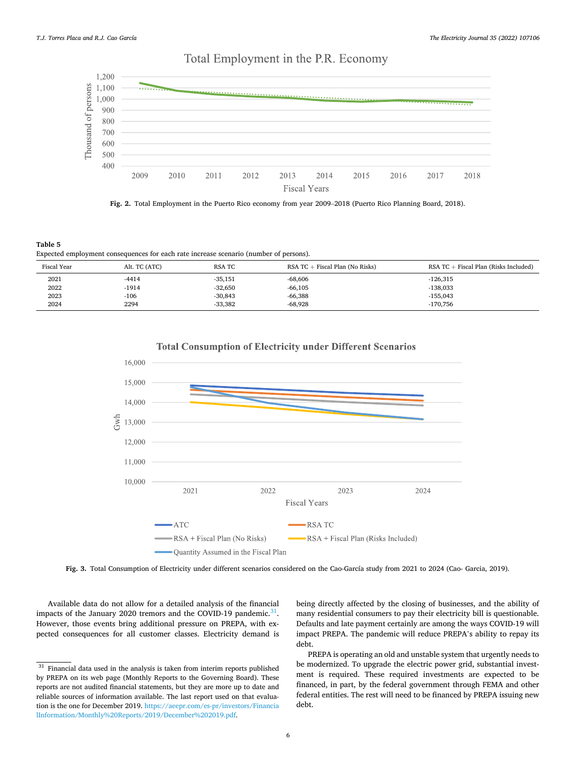#### <span id="page-5-0"></span>1,200 Thousand of persons 1,100 1,000 900 800 700 600 500 400 2009 2010 2011 2012 2013 2014 2015 2016 2017 2018 **Fiscal Years**

# Total Employment in the P.R. Economy



**Table 5**  Expected employment consequences for each rate increase scenario (number of persons).

| <b>Fiscal Year</b> | Alt. TC (ATC) | <b>RSA TC</b> | RSA $TC$ + Fiscal Plan (No Risks) | $RSA TC + Fixed Plan (Risks included)$ |
|--------------------|---------------|---------------|-----------------------------------|----------------------------------------|
| 2021               | -4414         | $-35,151$     | $-68,606$                         | $-126,315$                             |
| 2022               | -1914         | $-32,650$     | $-66,105$                         | $-138,033$                             |
| 2023               | $-106$        | $-30.843$     | $-66,388$                         | $-155.043$                             |
| 2024               | 2294          | $-33.382$     | $-68.928$                         | $-170.756$                             |



**Total Consumption of Electricity under Different Scenarios** 

**Fig. 3.** Total Consumption of Electricity under different scenarios considered on the Cao-García study from 2021 to 2024 (Cao- Garcia, 2019).

Available data do not allow for a detailed analysis of the financial impacts of the January 2020 tremors and the COVID-19 pandemic. $31$ . However, those events bring additional pressure on PREPA, with expected consequences for all customer classes. Electricity demand is being directly affected by the closing of businesses, and the ability of many residential consumers to pay their electricity bill is questionable. Defaults and late payment certainly are among the ways COVID-19 will impact PREPA. The pandemic will reduce PREPA's ability to repay its debt.

PREPA is operating an old and unstable system that urgently needs to be modernized. To upgrade the electric power grid, substantial investment is required. These required investments are expected to be financed, in part, by the federal government through FEMA and other federal entities. The rest will need to be financed by PREPA issuing new debt.

 $31$  Financial data used in the analysis is taken from interim reports published by PREPA on its web page (Monthly Reports to the Governing Board). These reports are not audited financial statements, but they are more up to date and reliable sources of information available. The last report used on that evaluation is the one for December 2019. https://aeepr.com/es-pr/investors/Financia lInformation/Monthly%20Reports/2019/December%202019.pdf.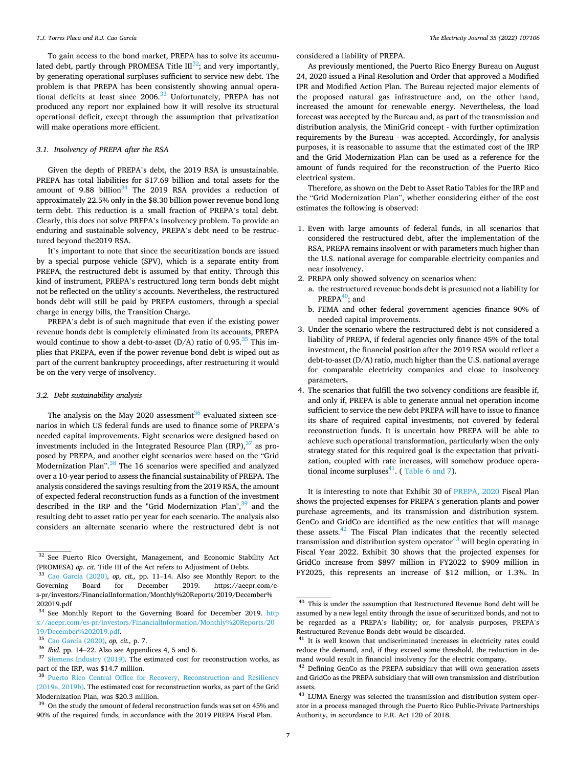To gain access to the bond market, PREPA has to solve its accumulated debt, partly through PROMESA Title  $III^{32}$ ; and very importantly, by generating operational surpluses sufficient to service new debt. The problem is that PREPA has been consistently showing annual operational deficits at least since  $2006<sup>33</sup>$  Unfortunately, PREPA has not produced any report nor explained how it will resolve its structural operational deficit, except through the assumption that privatization will make operations more efficient.

# *3.1. Insolvency of PREPA after the RSA*

Given the depth of PREPA's debt, the 2019 RSA is unsustainable. PREPA has total liabilities for \$17.69 billion and total assets for the amount of 9.88 billion $34$  The 2019 RSA provides a reduction of approximately 22.5% only in the \$8.30 billion power revenue bond long term debt. This reduction is a small fraction of PREPA's total debt. Clearly, this does not solve PREPA's insolvency problem. To provide an enduring and sustainable solvency, PREPA's debt need to be restructured beyond the2019 RSA.

It's important to note that since the securitization bonds are issued by a special purpose vehicle (SPV), which is a separate entity from PREPA, the restructured debt is assumed by that entity. Through this kind of instrument, PREPA's restructured long term bonds debt might not be reflected on the utility's accounts. Nevertheless, the restructured bonds debt will still be paid by PREPA customers, through a special charge in energy bills, the Transition Charge.

PREPA's debt is of such magnitude that even if the existing power revenue bonds debt is completely eliminated from its accounts, PREPA would continue to show a debt-to-asset  $(D/A)$  ratio of 0.95.<sup>35</sup> This implies that PREPA, even if the power revenue bond debt is wiped out as part of the current bankruptcy proceedings, after restructuring it would be on the very verge of insolvency.

# *3.2. Debt sustainability analysis*

The analysis on the May 2020 assessment<sup>36</sup> evaluated sixteen scenarios in which US federal funds are used to finance some of PREPA's needed capital improvements. Eight scenarios were designed based on investments included in the Integrated Resource Plan  $\text{(IRP)}$ ,  $^{37}$  as proposed by PREPA, and another eight scenarios were based on the "Grid Modernization Plan".<sup>38</sup> The 16 scenarios were specified and analyzed over a 10-year period to assess the financial sustainability of PREPA. The analysis considered the savings resulting from the 2019 RSA, the amount of expected federal reconstruction funds as a function of the investment described in the IRP and the "Grid Modernization Plan", $39$  and the resulting debt to asset ratio per year for each scenario. The analysis also considers an alternate scenario where the restructured debt is not

considered a liability of PREPA.

As previously mentioned, the Puerto Rico Energy Bureau on August 24, 2020 issued a Final Resolution and Order that approved a Modified IPR and Modified Action Plan. The Bureau rejected major elements of the proposed natural gas infrastructure and, on the other hand, increased the amount for renewable energy. Nevertheless, the load forecast was accepted by the Bureau and, as part of the transmission and distribution analysis, the MiniGrid concept - with further optimization requirements by the Bureau - was accepted. Accordingly, for analysis purposes, it is reasonable to assume that the estimated cost of the IRP and the Grid Modernization Plan can be used as a reference for the amount of funds required for the reconstruction of the Puerto Rico electrical system.

Therefore, as shown on the Debt to Asset Ratio Tables for the IRP and the "Grid Modernization Plan", whether considering either of the cost estimates the following is observed:

- 1. Even with large amounts of federal funds, in all scenarios that considered the restructured debt, after the implementation of the RSA, PREPA remains insolvent or with parameters much higher than the U.S. national average for comparable electricity companies and near insolvency.
- 2. PREPA only showed solvency on scenarios when:
	- a. the restructured revenue bonds debt is presumed not a liability for PREPA $^{40}$ ; and
	- b. FEMA and other federal government agencies finance 90% of needed capital improvements.
- 3. Under the scenario where the restructured debt is not considered a liability of PREPA, if federal agencies only finance 45% of the total investment, the financial position after the 2019 RSA would reflect a debt-to-asset (D/A) ratio, much higher than the U.S. national average for comparable electricity companies and close to insolvency parameters**.**
- 4. The scenarios that fulfill the two solvency conditions are feasible if, and only if, PREPA is able to generate annual net operation income sufficient to service the new debt PREPA will have to issue to finance its share of required capital investments, not covered by federal reconstruction funds. It is uncertain how PREPA will be able to achieve such operational transformation, particularly when the only strategy stated for this required goal is the expectation that privatization, coupled with rate increases, will somehow produce opera-tional income surpluses<sup>41</sup>. ([Table 6 and 7](#page-7-0)).

It is interesting to note that Exhibit 30 of [PREPA, 2020](#page-8-0) Fiscal Plan shows the projected expenses for PREPA's generation plants and power purchase agreements, and its transmission and distribution system. GenCo and GridCo are identified as the new entities that will manage these assets. $42$  The Fiscal Plan indicates that the recently selected transmission and distribution system operator $43$  will begin operating in Fiscal Year 2022. Exhibit 30 shows that the projected expenses for GridCo increase from \$897 million in FY2022 to \$909 million in FY2025, this represents an increase of \$12 million, or 1.3%. In

<sup>&</sup>lt;sup>32</sup> See Puerto Rico Oversight, Management, and Economic Stability Act (PROMESA) *op. cit.* Title III of the Act refers to Adjustment of Debts. 33 [Cao García \(2020\),](#page-8-0) *op, cit.,* pp. 11–14. Also see Monthly Report to the

Governing Board for December 2019. https://aeepr.com/es-pr/investors/FinancialInformation/Monthly%20Reports/2019/December% 202019.pdf

<sup>&</sup>lt;sup>34</sup> See Monthly Report to the Governing Board for December 2019. http s://aeepr.com/es-pr/investors/FinancialInformation/Monthly%20Reports/20

<sup>&</sup>lt;sup>35</sup> [Cao García \(2020\),](#page-8-0) *op, cit.*, p. 7.<br><sup>36</sup> *Ibid.* pp. 14–22. Also see Appendices 4, 5 and 6.<br><sup>37</sup> [Siemens Industry \(2019\)](#page-9-0). The estimated cost for reconstruction works, as<br>part of the IRP, was \$14.7 million.

<sup>&</sup>lt;sup>38</sup> Puerto Rico Central Office for Recovery, Reconstruction and Resiliency [\(2019a, 2019b\).](#page-8-0) The estimated cost for reconstruction works, as part of the Grid

Modernization Plan, was \$20.3 million. 39 On the study the amount of federal reconstruction funds was set on 45% and 90% of the required funds, in accordance with the 2019 PREPA Fiscal Plan.

<sup>&</sup>lt;sup>40</sup> This is under the assumption that Restructured Revenue Bond debt will be assumed by a new legal entity through the issue of securitized bonds, and not to be regarded as a PREPA's liability; or, for analysis purposes, PREPA's Restructured Revenue Bonds debt would be discarded.<br><sup>41</sup> It is well known that undiscriminated increases in electricity rates could

reduce the demand, and, if they exceed some threshold, the reduction in demand would result in financial insolvency for the electric company.<br><sup>42</sup> Defining GenCo as the PREPA subsidiary that will own generation assets

and GridCo as the PREPA subsidiary that will own transmission and distribution assets.

<sup>43</sup> LUMA Energy was selected the transmission and distribution system operator in a process managed through the Puerto Rico Public-Private Partnerships Authority, in accordance to P.R. Act 120 of 2018.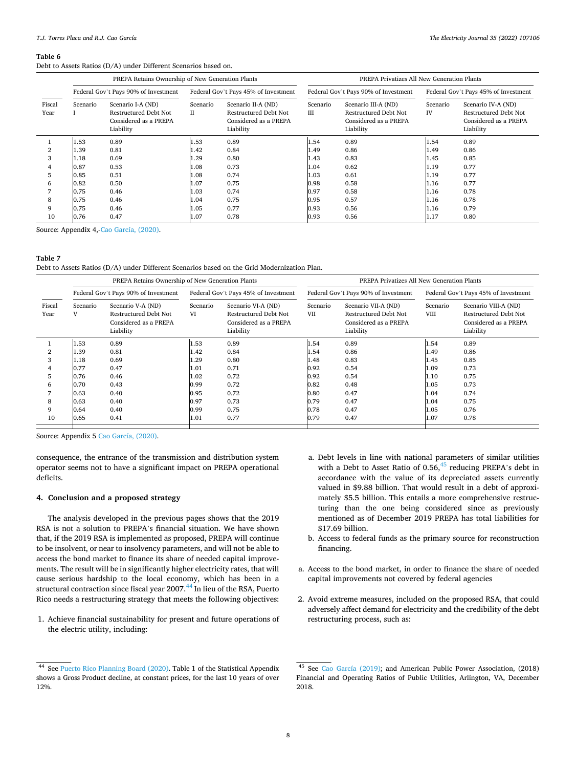<span id="page-7-0"></span>Debt to Assets Ratios (D/A) under Different Scenarios based on.

|                | PREPA Retains Ownership of New Generation Plants                                                                                                                                                   |      |                                      |                                                                                           |                                      | PREPA Privatizes All New Generation Plants                                               |                                      |      |  |  |
|----------------|----------------------------------------------------------------------------------------------------------------------------------------------------------------------------------------------------|------|--------------------------------------|-------------------------------------------------------------------------------------------|--------------------------------------|------------------------------------------------------------------------------------------|--------------------------------------|------|--|--|
|                | Federal Gov't Pays 90% of Investment                                                                                                                                                               |      | Federal Gov't Pays 45% of Investment |                                                                                           | Federal Gov't Pays 90% of Investment |                                                                                          | Federal Gov't Pays 45% of Investment |      |  |  |
| Fiscal<br>Year | Scenario I-A (ND)<br>Scenario II-A (ND)<br>Scenario<br>Scenario<br>Restructured Debt Not<br>Restructured Debt Not<br>П<br>Considered as a PREPA<br>Considered as a PREPA<br>Liability<br>Liability |      | Scenario<br>IΙI                      | Scenario III-A (ND)<br><b>Restructured Debt Not</b><br>Considered as a PREPA<br>Liability | Scenario<br>IV                       | Scenario IV-A (ND)<br><b>Restructured Debt Not</b><br>Considered as a PREPA<br>Liability |                                      |      |  |  |
|                | 1.53                                                                                                                                                                                               | 0.89 | l.53                                 | 0.89                                                                                      | 1.54                                 | 0.89                                                                                     | 1.54                                 | 0.89 |  |  |
|                | 1.39                                                                                                                                                                                               | 0.81 | .42                                  | 0.84                                                                                      | 1.49                                 | 0.86                                                                                     | 1.49                                 | 0.86 |  |  |
| 3              | 1.18                                                                                                                                                                                               | 0.69 | .29                                  | 0.80                                                                                      | 1.43                                 | 0.83                                                                                     | 1.45                                 | 0.85 |  |  |
|                | 0.87                                                                                                                                                                                               | 0.53 | .08                                  | 0.73                                                                                      | 1.04                                 | 0.62                                                                                     | 1.19                                 | 0.77 |  |  |
| 5              | 0.85                                                                                                                                                                                               | 0.51 | .08                                  | 0.74                                                                                      | 1.03                                 | 0.61                                                                                     | 1.19                                 | 0.77 |  |  |
| 6              | 0.82                                                                                                                                                                                               | 0.50 | .07                                  | 0.75                                                                                      | 0.98                                 | 0.58                                                                                     | 1.16                                 | 0.77 |  |  |
|                | 0.75                                                                                                                                                                                               | 0.46 | L.03                                 | 0.74                                                                                      | 0.97                                 | 0.58                                                                                     | 1.16                                 | 0.78 |  |  |
| 8              | 0.75                                                                                                                                                                                               | 0.46 | 0.04                                 | 0.75                                                                                      | 0.95                                 | 0.57                                                                                     | 1.16                                 | 0.78 |  |  |
| 9              | 0.75                                                                                                                                                                                               | 0.46 | 0.05                                 | 0.77                                                                                      | 0.93                                 | 0.56                                                                                     | 1.16                                 | 0.79 |  |  |
| 10             | 0.76                                                                                                                                                                                               | 0.47 | 1.07                                 | 0.78                                                                                      | 0.93                                 | 0.56                                                                                     | 1.17                                 | 0.80 |  |  |

Source: Appendix 4, [Cao García, \(2020\)](#page-8-0).

### **Table 7**

Debt to Assets Ratios (D/A) under Different Scenarios based on the Grid Modernization Plan.

|                                                                                                              | PREPA Retains Ownership of New Generation Plants                                 |                                                                                      | PREPA Privatizes All New Generation Plants                                                                  |                                                                                   |                                                                                           |                                                                              |                                                                                            |
|--------------------------------------------------------------------------------------------------------------|----------------------------------------------------------------------------------|--------------------------------------------------------------------------------------|-------------------------------------------------------------------------------------------------------------|-----------------------------------------------------------------------------------|-------------------------------------------------------------------------------------------|------------------------------------------------------------------------------|--------------------------------------------------------------------------------------------|
|                                                                                                              | Federal Gov't Pays 90% of Investment                                             |                                                                                      | Federal Gov't Pays 45% of Investment                                                                        |                                                                                   | Federal Gov't Pays 90% of Investment                                                      | Federal Gov't Pays 45% of Investment                                         |                                                                                            |
| Fiscal<br>Scenario<br>V<br>Year                                                                              | Scenario V-A (ND)<br>Restructured Debt Not<br>Considered as a PREPA<br>Liability | Scenario<br>VI                                                                       | Scenario VI-A (ND)<br>Scenario<br><b>Restructured Debt Not</b><br>VII<br>Considered as a PREPA<br>Liability |                                                                                   | Scenario VII-A (ND)<br><b>Restructured Debt Not</b><br>Considered as a PREPA<br>Liability | Scenario<br><b>VIII</b>                                                      | Scenario VIII-A (ND)<br><b>Restructured Debt Not</b><br>Considered as a PREPA<br>Liability |
| 1.53<br>1.39<br>3<br>1.18<br>0.77<br>0.76<br>5.<br>0.70<br>6<br>0.63<br>8<br>0.63<br>9<br>0.64<br>10<br>0.65 | 0.89<br>0.81<br>0.69<br>0.47<br>0.46<br>0.43<br>0.40<br>0.40<br>0.40<br>0.41     | 1.53<br>l.42<br>l.29<br>$1.01\,$<br>$1.02\,$<br>0.99<br>0.95<br>0.97<br>0.99<br>1.01 | 0.89<br>0.84<br>0.80<br>0.71<br>0.72<br>0.72<br>0.72<br>0.73<br>0.75<br>0.77                                | 1.54<br>1.54<br>1.48<br>0.92<br>0.92<br>0.82<br>$_{0.80}$<br>0.79<br>0.78<br>0.79 | 0.89<br>0.86<br>0.83<br>0.54<br>0.54<br>0.48<br>0.47<br>0.47<br>0.47<br>0.47              | 1.54<br>1.49<br>1.45<br>1.09<br>1.10<br>1.05<br>1.04<br>1.04<br>1.05<br>1.07 | 0.89<br>0.86<br>0.85<br>0.73<br>0.75<br>0.73<br>0.74<br>0.75<br>0.76<br>0.78               |

Source: Appendix 5 [Cao García, \(2020\)](#page-8-0).

consequence, the entrance of the transmission and distribution system operator seems not to have a significant impact on PREPA operational deficits.

### **4. Conclusion and a proposed strategy**

The analysis developed in the previous pages shows that the 2019 RSA is not a solution to PREPA's financial situation. We have shown that, if the 2019 RSA is implemented as proposed, PREPA will continue to be insolvent, or near to insolvency parameters, and will not be able to access the bond market to finance its share of needed capital improvements. The result will be in significantly higher electricity rates, that will cause serious hardship to the local economy, which has been in a structural contraction since fiscal year 2007.<sup>44</sup> In lieu of the RSA, Puerto Rico needs a restructuring strategy that meets the following objectives:

1. Achieve financial sustainability for present and future operations of the electric utility, including:

- a. Debt levels in line with national parameters of similar utilities with a Debt to Asset Ratio of  $0.56$ ,  $45$  reducing PREPA's debt in accordance with the value of its depreciated assets currently valued in \$9.88 billion. That would result in a debt of approximately \$5.5 billion. This entails a more comprehensive restructuring than the one being considered since as previously mentioned as of December 2019 PREPA has total liabilities for \$17.69 billion.
- b. Access to federal funds as the primary source for reconstruction financing.
- a. Access to the bond market, in order to finance the share of needed capital improvements not covered by federal agencies
- 2. Avoid extreme measures, included on the proposed RSA, that could adversely affect demand for electricity and the credibility of the debt restructuring process, such as:

<sup>44</sup> See [Puerto Rico Planning Board \(2020\)](#page-9-0). Table 1 of the Statistical Appendix shows a Gross Product decline, at constant prices, for the last 10 years of over 12%.

<sup>45</sup> See [Cao García \(2019\);](#page-8-0) and American Public Power Association, (2018) Financial and Operating Ratios of Public Utilities, Arlington, VA, December 2018.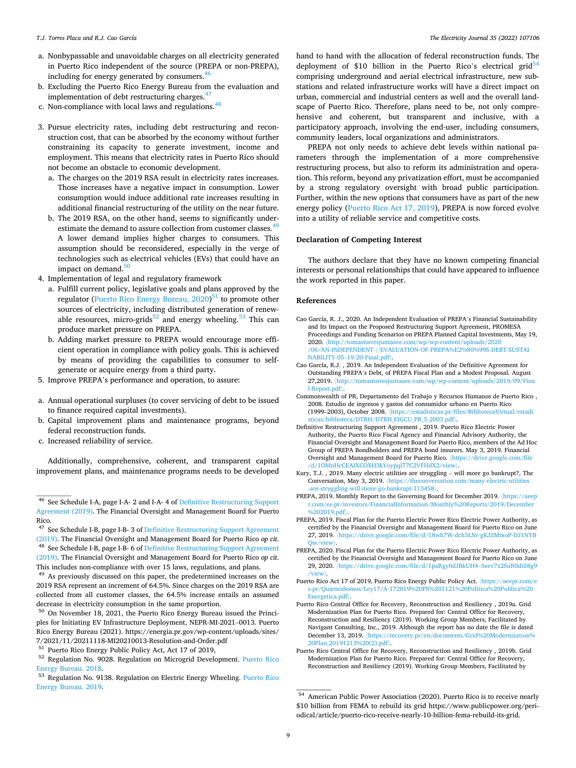- <span id="page-8-0"></span>a. Nonbypassable and unavoidable charges on all electricity generated in Puerto Rico independent of the source (PREPA or non-PREPA), including for energy generated by consumers. $46$
- b. Excluding the Puerto Rico Energy Bureau from the evaluation and implementation of debt restructuring charges. $47$
- c. Non-compliance with local laws and regulations.<sup>48</sup>
- 3. Pursue electricity rates, including debt restructuring and reconstruction cost, that can be absorbed by the economy without further constraining its capacity to generate investment, income and employment. This means that electricity rates in Puerto Rico should not become an obstacle to economic development.
	- a. The charges on the 2019 RSA result in electricity rates increases. Those increases have a negative impact in consumption. Lower consumption would induce additional rate increases resulting in additional financial restructuring of the utility on the near future.
	- b. The 2019 RSA, on the other hand, seems to significantly underestimate the demand to assure collection from customer classes.<sup>49</sup> A lower demand implies higher charges to consumers. This assumption should be reconsidered, especially in the verge of technologies such as electrical vehicles (EVs) that could have an impact on demand. $50$
- 4. Implementation of legal and regulatory framework
	- a. Fulfill current policy, legislative goals and plans approved by the regulator ([Puerto Rico Energy Bureau, 2020](#page-9-0))<sup>51</sup> to promote other sources of electricity, including distributed generation of renewable resources, micro-grids<sup>52</sup> and energy wheeling.<sup>53</sup> This can produce market pressure on PREPA.
	- b. Adding market pressure to PREPA would encourage more efficient operation in compliance with policy goals. This is achieved by means of providing the capabilities to consumer to selfgenerate or acquire energy from a third party.
- 5. Improve PREPA's performance and operation, to assure:
- a. Annual operational surpluses (to cover servicing of debt to be issued to finance required capital investments).
- b. Capital improvement plans and maintenance programs, beyond federal reconstruction funds.
- c. Increased reliability of service.

Additionally, comprehensive, coherent, and transparent capital improvement plans, and maintenance programs needs to be developed

decrease in electricity consumption in the same proportion.  $50$  On November 18, 2021, the Puerto Rico Energy Bureau issued the Principles for Initiating EV Infrastructure Deployment, NEPR-MI-2021–0013. Puerto Rico Energy Bureau (2021). https://energia.pr.gov/wp-content/uploads/sites/ 7/2021/11/20211118-MI20210013-Resolution-and-Order.pdf

<sup>53</sup> Regulation No. 9138. Regulation on Electric Energy Wheeling. Puerto Rico

hand to hand with the allocation of federal reconstruction funds. The deployment of \$10 billion in the Puerto Rico's electrical grid<sup>54</sup> comprising underground and aerial electrical infrastructure, new substations and related infrastructure works will have a direct impact on urban, commercial and industrial centers as well and the overall landscape of Puerto Rico. Therefore, plans need to be, not only comprehensive and coherent, but transparent and inclusive, with a participatory approach, involving the end-user, including consumers, community leaders, local organizations and administrators.

PREPA not only needs to achieve debt levels within national parameters through the implementation of a more comprehensive restructuring process, but also to reform its administration and operation. This reform, beyond any privatization effort, must be accompanied by a strong regulatory oversight with broad public participation. Further, within the new options that consumers have as part of the new energy policy (Puerto Rico Act 17, 2019), PREPA is now forced evolve into a utility of reliable service and competitive costs.

### **Declaration of Competing Interest**

The authors declare that they have no known competing financial interests or personal relationships that could have appeared to influence the work reported in this paper.

#### **References**

- Cao García, R. J., 2020. An Independent Evaluation of PREPA's Financial Sustainability and Its Impact on the Proposed Restructuring Support Agreement, PROMESA Proceedings and Funding Scenarios on PREPA Planned Capital Investments, May 19, 2020. 〈http://tomastorresjuntaaee.com/wp/wp-content/uploads/2020 /06/AN-INDEPENDENT-〉〈EVALUATION-OF-PREPA%E2%80%99S-DEBT-SUSTAI NABILITY-05–19-20-Final.pdf〉.
- Cao García, R.J. , 2019. An Independent Evaluation of the Definitive Agreement for Outstanding PREPA's Debt, of PREPA Fiscal Plan and a Modest Proposal. August 27,2019. 〈http://tomastorresjuntaaee.com/wp/wp-content/uploads/2019/09/Fina l-Report.pdf〉.
- Commonwealth of PR, Departamento del Trabajo y Recursos Humanos de Puerto Rico , 2008. Estudio de ingresos y gastos del consumidor urbano en Puerto Rico (1999–2003), October 2008. 〈https://estadisticas.pr/files/BibliotecaVirtual/estadi sticas/biblioteca/DTRH/DTRH\_EIGCU\_PR\_5\_2003.pdf〉.
- Definitive Restructuring Support Agreement , 2019. Puerto Rico Electric Power Authority, the Puerto Rico Fiscal Agency and Financial Advisory Authority, the Financial Oversight and Management Board for Puerto Rico, members of the Ad Hoc Group of PREPA Bondholders and PREPA bond insurers. May 3, 2019. Financial Oversight and Management Board for Puerto Rico. 〈https://drive.google.com/file /d/1OMnHcCEAIXCOXH3kYoypqI77C2VFHdX2/view〉.
- Kury, T.J. , 2019. Many electric utilities are struggling will more go bankrupt?, The Conversation, May 3, 2019. 〈https://theconversation.com/many-electric-utilities -are-struggling-will-more-go-bankrupt-113458〉.
- PREPA, 2019. Monthly Report to the Governing Board for December 2019. 〈https://aeep r.com/es-pr/investors/FinancialInformation/Monthly%20Reports/2019/December %202019.pdf〉.
- PREPA, 2019. Fiscal Plan for the Puerto Electric Power Rico Electric Power Authority, as certified by the Financial Oversight and Management Board for Puerto Rico on June 27, 2019. 〈https://drive.google.com/file/d/18wh7W-dch5LNr-gKJZMtxoP-DJ1NYB Qw/view〉.
- PREPA, 2020. Fiscal Plan for the Puerto Electric Power Rico Electric Power Authority, as certified by the Financial Oversight and Management Board for Puerto Rico on June 29, 2020. 〈https://drive.google.com/file/d/1paRgy0dJBkUH4–5eev7z2SuR0diil8g9 /view〉.

Puerto Rico Act 17 of 2019, Puerto Rico Energy Public Policy Act. 〈https://aeepr.com/e s-pr/QuienesSomos/Ley17/A-172019%20PS%201121%20Politica%20Publica%20 Energetica.pdf〉.

- Puerto Rico Central Office for Recovery, Reconstruction and Resiliency , 2019a. Grid Modernization Plan for Puerto Rico. Prepared for: Central Office for Recovery, Reconstruction and Resiliency (2019). Working Group Members, Facilitated by Navigant Consulting, Inc., 2019. Although the report has no date the file is dated December 13, 2019. 〈https://recovery.pr/en/documents/Grid%20Modernization% 20Plan\_20191213%20(2).pdf〉.
- Puerto Rico Central Office for Recovery, Reconstruction and Resiliency , 2019b. Grid Modernization Plan for Puerto Rico. Prepared for: Central Office for Recovery, Reconstruction and Resiliency (2019). Working Group Members, Facilitated by

<sup>46</sup> See Schedule I-A, page I-A- 2 and I-A- 4 of Definitive Restructuring Support Agreement (2019). The Financial Oversight and Management Board for Puerto Rico.

<sup>47</sup> See Schedule I-B, page I-B- 3 of Definitive Restructuring Support Agreement (2019). The Financial Oversight and Management Board for Puerto Rico *op cit*. 48 See Schedule I-B, page I-B- 6 of Definitive Restructuring Support Agreement (2019). The Financial Oversight and Management Board for Puerto Rico *op cit*.

This includes non-compliance with over 15 laws, regulations, and plans. 49 As previously discussed on this paper, the predetermined increases on the 2019 RSA represent an increment of 64.5%. Since charges on the 2019 RSA are collected from all customer classes, the 64.5% increase entails an assumed

 $51$  [Puerto Rico](#page-9-0) Energy Public Policy Act, Act 17 of 2019,<br> $52$  Regulation No. 9028. Regulation on Microgrid Development. Puerto Rico<br>Energy Bureau. 2018.

[Energy Bureau. 2019](#page-9-0). **Energy Bureau.** 2019. **54 American Public Power Association (2020). Puerto Rico is to receive nearly** \$10 billion from FEMA to rebuild its grid https://www.publicpower.org/periodical/article/puerto-rico-receive-nearly-10-billion-fema-rebuild-its-grid*.*